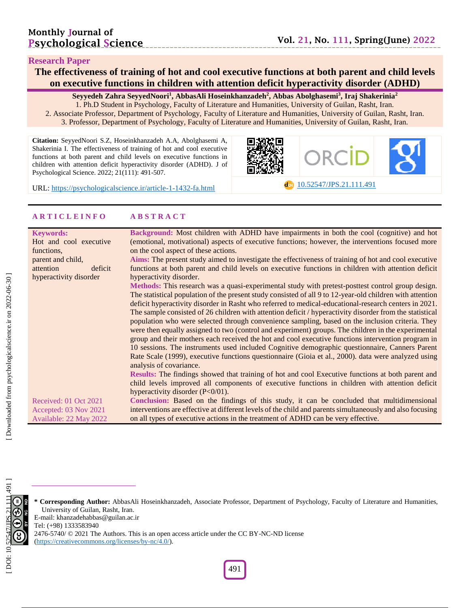## **Research Paper**

## **The effectiveness of training of hot and cool executive functions at both parent and child levels on executive functions in children with attention deficit hyperactivity disorder (ADHD)**

**Seyyedeh Zahra SeyyedNoori 1 , AbbasAli Hoseinkhanzadeh 2 , Abbas Abolghasemi 3 , Iraj Shakerinia 2** 1. Ph.D Student in Psychology, Faculty of Literature and Humanities, University of Guilan, Rasht, Iran. 2. Associate Professor, Department of Psychology, Faculty of Literature and Humanities, University of Guilan, Rasht, Iran.

3. Professor, Department of Psychology, Faculty of Literature and Humanities, University of Guilan, Rasht, Iran.

**Citation:** SeyyedNoori S.Z, Hoseinkhanzadeh A.A, Abolghasemi A, Shakerinia I. The effectiveness of training of hot and cool executive functions at both parent and child levels on executive functions in children with attention deficit hyperactivity disorder (ADHD). J of Psychological Science. 2022; 21(111): 491-507.



-fa.html [10.52547/JPS.21.111.491](https://psychologicalscience.ir/article-1-1432-fa.html)

URL: [https://psychologicalscience.ir/article](https://psychologicalscience.ir/article-1-1432-fa.html)-1-1432

## **A R T I C L E I N F O A B S T R A C T**

| <b>Keywords:</b>       | Background: Most children with ADHD have impairments in both the cool (cognitive) and hot                 |
|------------------------|-----------------------------------------------------------------------------------------------------------|
| Hot and cool executive | (emotional, motivational) aspects of executive functions; however, the interventions focused more         |
| functions.             | on the cool aspect of these actions.                                                                      |
| parent and child,      | Aims: The present study aimed to investigate the effectiveness of training of hot and cool executive      |
| attention<br>deficit   | functions at both parent and child levels on executive functions in children with attention deficit       |
| hyperactivity disorder | hyperactivity disorder.                                                                                   |
|                        | Methods: This research was a quasi-experimental study with pretest-posttest control group design.         |
|                        | The statistical population of the present study consisted of all 9 to 12-year-old children with attention |
|                        | deficit hyperactivity disorder in Rasht who referred to medical-educational-research centers in 2021.     |
|                        | The sample consisted of 26 children with attention deficit / hyperactivity disorder from the statistical  |
|                        | population who were selected through convenience sampling, based on the inclusion criteria. They          |
|                        | were then equally assigned to two (control and experiment) groups. The children in the experimental       |
|                        | group and their mothers each received the hot and cool executive functions intervention program in        |
|                        | 10 sessions. The instruments used included Cognitive demographic questionnaire, Canners Parent            |
|                        | Rate Scale (1999), executive functions questionnaire (Gioia et al., 2000). data were analyzed using       |
|                        | analysis of covariance.                                                                                   |
|                        | Results: The findings showed that training of hot and cool Executive functions at both parent and         |
|                        | child levels improved all components of executive functions in children with attention deficit            |
|                        | hyperactivity disorder $(P<0/01)$ .                                                                       |
| Received: 01 Oct 2021  | Conclusion: Based on the findings of this study, it can be concluded that multidimensional                |
| Accepted: 03 Nov 2021  | interventions are effective at different levels of the child and parents simultaneously and also focusing |
| Available: 22 May 2022 | on all types of executive actions in the treatment of ADHD can be very effective.                         |



**\* Corresponding Author:** AbbasAli Hoseinkhanzadeh , Associate Professor, Department of Psychology, Faculty of Literature and Humanities, University of Guilan, Rasht, Iran.

E -mail: khanzadehabbas@guilan.ac.ir

Tel: (+98) 1333583940

2476-5740/ © 2021 The Authors. This is an open access article under the CC BY-NC-ND license

[\(https://creativecommons.org/licenses/by](https://creativecommons.org/licenses/by-nc/4.0/) -nc/4.0/).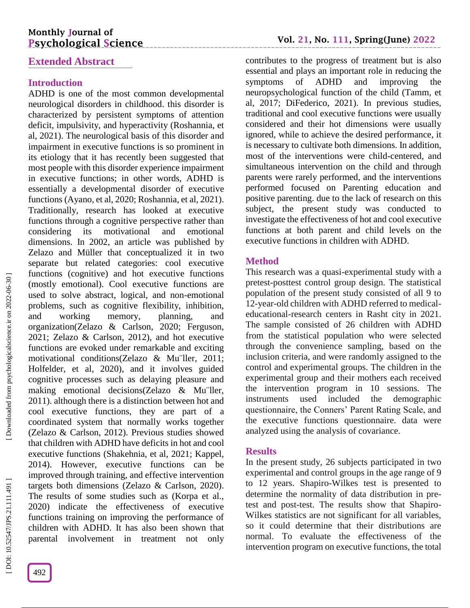## **Monthly Journal of Psychological Science**

## **Extended Abstract**

## **Introduction**

ADHD is one of the most common developmental neurological disorders in childhood. this disorder is characterized by persistent symptoms of attention deficit, impulsivity, and hyperactivity (Roshannia, et al, 2021). The neurological basis of this disorder and impairment in executive functions is so prominent in its etiology that it has recently been suggested that most people with this disorder experience impairment in executive functions; in other words, ADHD is essentially a developmental disorder of executive functions (Ayano, et al, 2020; Roshannia, et al, 2021). Traditionally, research has looked at executive functions through a cognitive perspective rather than considering its motivational and emotional dimensions. In 2002, an article was published by Zelazo and Müller that conceptualized it in two separate but related categories: cool executive functions (cognitive) and hot executive functions (mostly emotional). Cool executive functions are used to solve abstract, logical, and non -emotional problems, such as cognitive flexibility, inhibition, and working memory, planning, and organization(Zelazo & Carlson, 2020; Ferguson, 2021; Zelazo & Carlson, 2012), and hot executive functions are evoked under remarkable and exciting motivational conditions(Zelazo & Mu¨ller, 2011; Holfelder, et al, 2020), and it involves guided cognitive processes such as delaying pleasure and making emotional decisions(Zelazo & Mu¨ller, 2011). although there is a distinction between hot and cool executive functions, they are part of a coordinated system that normally works together (Zelazo & Carlson, 2012). Previous studies showed that children with ADHD have deficits in hot and cool executive functions (Shakehnia, et al, 2021; Kappel, 2014). However, executive functions can be improved through training, and effective intervention targets both dimensions (Zelazo & Carlson, 2020). The results of some studies such as (Korpa et al., 2020) indicate the effectiveness of executive functions training on improving the performance of children with ADHD. It has also been shown that parental involvement in treatment not only

[Downloaded from psychologicalscience.ir on 2022-06-30]

## **Vol. 21, No. 111, Spring(June) 202 2**

contributes to the progress of treatment but is also essential and plays an important role in reducing the symptoms of ADHD and improving the neuropsychological function of the child (Tamm, et al, 2017; DiFederico, 2021). In previous studies, traditional and cool executive functions were usually considered and their hot dimensions were usually ignored, while to achieve the desired performance, it is necessary to cultivate both dimensions. In addition, most of the interventions were child -centered, and simultaneous intervention on the child and through parents were rarely performed, and the interventions performed focused on Parenting education and positive parenting. due to the lack of research on this subject, the present study was conducted to investigate the effectiveness of hot and cool executive functions at both parent and child levels on the executive functions in children with ADHD.

## **Method**

This research was a quasi -experimental study with a pretest -posttest control group design. The statistical population of the present study consisted of all 9 to 12 -year -old children with ADHD referred to medical educational -research centers in Rasht city in 2021. The sample consisted of 26 children with ADHD from the statistical population who were selected through the convenience sampling, based on the inclusion criteria, and were randomly assigned to the control and experimental groups. The children in the experimental group and their mothers each received the intervention program in 10 sessions. The instruments used included the demographic questionnaire, the Conners' Parent Rating Scale, and the executive functions questionnaire. data were analyzed using the analysis of covariance.

## **Results**

In the present study, 26 subjects participated in two experimental and control groups in the age range of 9 to 12 years. Shapiro -Wilkes test is presented to determine the normality of data distribution in pre test and post -test. The results show that Shapiro - Wilkes statistics are not significant for all variables, so it could determine that their distributions are normal. To evaluate the effectiveness of the intervention program on executive functions, the total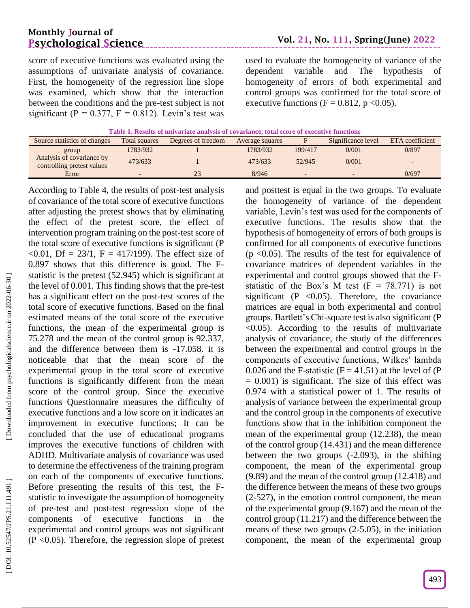## **Monthly Journal of Psychological Science**

score of executive functions was evaluated using the assumptions of univariate analysis of covariance. First, the homogeneity of the regression line slope was examined, which show that the interaction between the conditions and the pre -test subject is not significant (P =  $0.377$ , F =  $0.812$ ). Levin's test was

used to evaluate the homogeneity of variance of the dependent variable and The hypothesis of

homogeneity of errors of both experimental and control groups was confirmed for the total score of executive functions ( $F = 0.812$ ,  $p \le 0.05$ ).

| Source statistics of changes                            | Total squares | Degrees of freedom | Average squares |         | Significance level | ETA coefficient |
|---------------------------------------------------------|---------------|--------------------|-----------------|---------|--------------------|-----------------|
| group                                                   | 1783/932      |                    | 1783/932        | 199/417 | 0/001              | 0/897           |
| Analysis of covariance by<br>controlling pretest values | 473/633       |                    | 473/633         | 52/945  | 0/001              |                 |
| Error                                                   |               | 23                 | 8/946           |         |                    | 0/697           |

According to Table 4, the results of post -test analysis of covariance of the total score of executive functions after adjusting the pretest shows that by eliminating the effect of the pretest score, the effect of intervention program training on the post -test score of the total score of executive functions is significant (P  $\leq 0.01$ , Df = 23/1, F = 417/199). The effect size of 0.897 shows that this difference is good. The F statistic is the pretest (52.945) which is significant at the level of 0.001. This finding shows that the pre -test has a significant effect on the post -test scores of the total score of executive functions. Based on the final estimated means of the total score of the executive functions, the mean of the experimental group is 75.278 and the mean of the control group is 92.337, and the difference between them is -17.058. it is noticeable that that the mean score of the experimental group in the total score of executive functions is significantly different from the mean score of the control group. Since the executive functions Questionnaire measures the difficulty of executive functions and a low score on it indicates an improvement in executive functions; It can be concluded that the use of educational programs improves the executive functions of children with ADHD. Multivariate analysis of covariance was used to determine the effectiveness of the training program on each of the components of executive functions. Before presenting the results of this test, the F statistic to investigate the assumption of homogeneity of pre -test and post -test regression slope of the components of executive functions in the experimental and control groups was not significant  $(P \le 0.05)$ . Therefore, the regression slope of pretest

and posttest is equal in the two groups. To evaluate the homogeneity of variance of the dependent variable, Levin's test was used for the components of executive functions. The results show that the hypothesis of homogeneity of errors of both groups is confirmed for all components of executive functions  $(p \le 0.05)$ . The results of the test for equivalence of covariance matrices of dependent variables in the experimental and control groups showed that the F statistic of the Box's M test  $(F = 78.771)$  is not significant ( $P \leq 0.05$ ). Therefore, the covariance matrices are equal in both experimental and control groups. Bartlett's Chi -square test is also significant (P  $\sim$ 0.05). According to the results of multivariate analysis of covariance, the study of the differences between the experimental and control groups in the components of executive functions, Wilkes' lambda 0.026 and the F-statistic  $(F = 41.51)$  at the level of  $(P$  $= 0.001$ ) is significant. The size of this effect was 0.974 with a statistical power of 1. The results of analysis of variance between the experimental group and the control group in the components of executive functions show that in the inhibition component the mean of the experimental group (12.238), the mean of the control group (14.431) and the mean difference between the two groups ( -2.093), in the shifting component, the mean of the experimental group (9.89) and the mean of the control group (12.418) and the difference between the means of these two groups (2 -527), in the emotion control component, the mean of the experimental group (9.167) and the mean of the control group (11.217) and the difference between the means of these two groups (2 -5.05), in the initiation component, the mean of the experimental group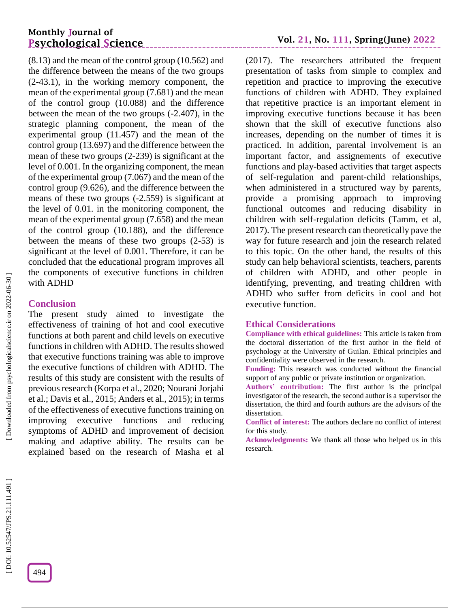## **Monthly Journal of Psychological Science**

(8.13) and the mean of the control group (10.562) and the difference between the means of the two groups (2 -43.1), in the working memory component, the mean of the experimental group (7.681) and the mean of the control group (10.088) and the difference between the mean of the two groups ( -2.407), in the strategic planning component, the mean of the experimental group (11.457) and the mean of the control group (13.697) and the difference between the mean of these two groups (2 -239) is significant at the level of 0.001. In the organizing component, the mean of the experimental group (7.067) and the mean of the control group (9.626), and the difference between the means of these two groups ( -2.559) is significant at the level of 0.01. in the monitoring component, the mean of the experimental group (7.658) and the mean of the control group (10.188), and the difference between the means of these two groups (2 -53) is significant at the level of 0.001. Therefore, it can be concluded that the educational program improves all the components of executive functions in children with ADHD

## **Conclusion**

The present study aimed to investigate the effectiveness of training of hot and cool executive functions at both parent and child levels on executive functions in children with ADHD. The results showed that executive functions training was able to improve the executive functions of children with ADHD. The results of this study are consistent with the results of previous research (Korpa et al., 2020; Nourani Jorjahi et al.; Davis et al., 2015; Anders et al., 2015); in terms of the effectiveness of executive functions training on improving executive functions and reducing symptoms of ADHD and improvement of decision making and adaptive ability. The results can be explained based on the research of Masha et al

(2017). The researchers attributed the frequent presentation of tasks from simple to complex and repetition and practice to improving the executive functions of children with ADHD. They explained that repetitive practice is an important element in improving executive functions because it has been shown that the skill of executive functions also increases, depending on the number of times it is practiced. In addition, parental involvement is an important factor, and assignements of executive functions and play -based activities that target aspects of self-regulation and parent -child relationships, when administered in a structured way by parents, provide a promising approach to improving functional outcomes and reducing disability in children with self-regulation deficits (Tamm, et al, 2017). The present research can theoretically pave the way for future research and join the research related to this topic. On the other hand, the results of this study can help behavioral scientists, teachers, parents of children with ADHD, and other people in identifying, preventing, and treating children with ADHD who suffer from deficits in cool and hot executive function.

## **Ethical Considerations**

**Compliance with ethical guidelines:** This article is taken from the doctoral dissertation of the first author in the field of psychology at the University of Guilan. Ethical principles and confidentiality were observed in the research.

**Funding:** This research was conducted without the financial support of any public or private institution or organization.

**Authors' contribution:** The first author is the principal investigator of the research, the second author is a supervisor the dissertation, the third and fourth authors are the advisors of the dissertation.

**Conflict of interest:** The authors declare no conflict of interest for this study.

**Acknowledgments:** We thank all those who helped us in this research.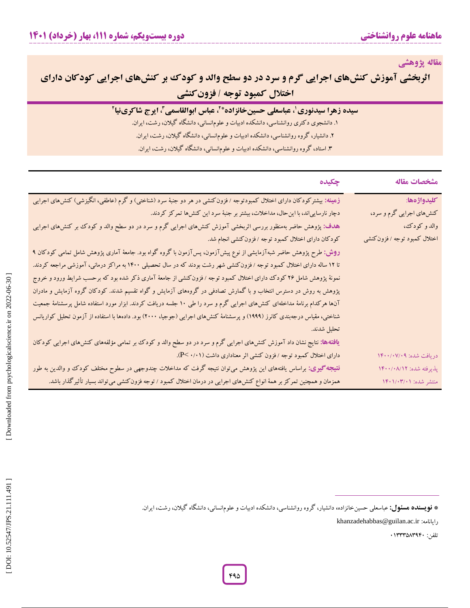**مقاله پژوهشی**

# **کودک بر کنشهای اجرایی کودکان دارای سرد در دو سطح والد و اثربخشی آموزش کنشهای اجرایی گرم و فزونکنشی اختالل کمبود توجه /**

| سیده زهرا سیدنوری ٰ، عباسعلی حسینخانزاده* ، عباس ابوالقاسمی ، ایرج شاکرینیا ؑ |  |  |  |
|-------------------------------------------------------------------------------|--|--|--|
|-------------------------------------------------------------------------------|--|--|--|

. دانشجوی دکتری روانشناسی، دانشکده ادبیات و علومانسانی، دانشگاه گیالن، رشت، ايران. **<sup>2</sup>**

۲. دانشیار، گروه روانشناسی، دانشکده ادبیات و علومانسانی، دانشگاه گیلان، رشت، ایران.<br>۳. استاد، گروه روانشناسی، دانشکده ادبیات و علومانسانی، دانشگاه گیلان، رشت، ایران.

| چکیده                                                                                                                       | مشخصات مقاله                |
|-----------------------------------------------------------------------------------------------------------------------------|-----------------------------|
| زهینه: بیشترکودکان دارای اختلال کمبودتوجه /فزونکنشی در هر دو جنبهٔ سرد (شناختی) و گرم (عاطفی، انگیزشی) کنش،ای اجرایی        | كليدواژهها:                 |
| دچار نارساییاند، با این حال، مداخلات، بیشتر بر جنبهٔ سرد این کنشها تمرکز کردند.                                             | کنشهای اجرایی گرم و سرد،    |
| هدف: پژوهش حاضر بهمنظور بررسی اثربخشی آموزش کنشهای اجرایی گرم و سرد در دو سطح والد و کودک بر کنشهای اجرایی                  | والد و کودک،                |
| کودکان دارای اختلال کمبود توجه /فزونکنشی انجام شد.                                                                          | اختلال کمبود توجه /فزونکنشی |
| <b>روش:</b> طرح پژوهش حاضر شبهآزمایشی از نوع پیشآزمون، پسآزمون با گروه گواه بود. جامعهٔ آماری پژوهش شامل تمامی کودکان ۹     |                             |
| تا ۱۲ ساله دارای اختلال کمبود توجه /فزونکنشی شهر رشت بودند که در سال تحصیلی ۱۴۰۰ به مراکز درمانی، آموزشی مراجعه کردند.      |                             |
| نمونهٔ پژوهش شامل ۲۶ کودک دارای اختلال کمبود توجه / فزون کنشی از جامعهٔ آماری ذکر شده بود که برحسب شرایط ورود و خروج        |                             |
| پژوهش به روش در دسترس انتخاب و با گمارش تصادفی در گروههای آزمایش و گواه تقسیم شدند. کودکان گروه آزمایش و مادران             |                             |
| آنها هرکدام برنامهٔ مداخلهای کنشهای اجرایی گرم و سرد را طی ۱۰ جلسه دریافت کردند. ابزار مورد استفاده شامل پرسشنامهٔ جمعیت    |                             |
| شناختی، مقیاس درجهبندی کانرز (۱۹۹۹) و پرسشنامهٔ کنش۱های اجرایی (جوجیا، ۲۰۰۰) بود. دادهها با استفاده از آزمون تحلیل کواریانس |                             |
| تحليل شدند.                                                                                                                 |                             |
| <b>یافتهها:</b> نتایج نشان داد آموزش کنشهای اجرایی گرم و سرد در دو سطح والد و کودک بر تمامی مؤلفههای کنشهای اجرایی کودکان   |                             |
| دارای اختلال کمبود توجه /فزون کنشی اثر معناداری داشت (۰/۰۱-P).                                                              | دريافت شده: ١۴٠٠/٠٧/٠٩      |
| <b>نتیجه گیری:</b> براساس یافتههای این پژوهش میتوان نتیجه گرفت که مداخلات چندوجهی در سطوح مختلف کودک و والدین به طور        | پذیرفته شده: ۱۴۰۰/۰۸/۱۲     |
| همزمان و همچنین تمرکز بر همهٔ انواع کنش۵ای اجرایی در درمان اختلال کمبود / توجه فزونکنشی میتواند بسیار تأثیرگذار باشد.       | منتشر شده: ۱۴۰۱/۰۳/۰۱       |

شر شده: ۱۴۰۱/۰۴/۰۱<br>نفر شده: ۱۴۰۱/۰۴/۰۱<br>**نویسنده هسئول:** عباسعلی حسینخانزاده، دانشیار، گروه روانشناسی، دانشکده ادبیات و علوم|نسانی، دانشگاه گیلان، رشت، ایران.<br>**نویسنده هسئول:** عباسعلی حسینخانزاده، دانشیار، گروه روانشناسی، **\* فویسنده هسئول:** عباسعلی حسینخانزاده، دانشیار، گروه روانشناسی، دانشکده ادبیات و علوم|نسانی، دانشگاه گیلان، رشت، ایران.

khanzadehabbas@guilan.ac.ir :رايانامه

تلفن: 91333403959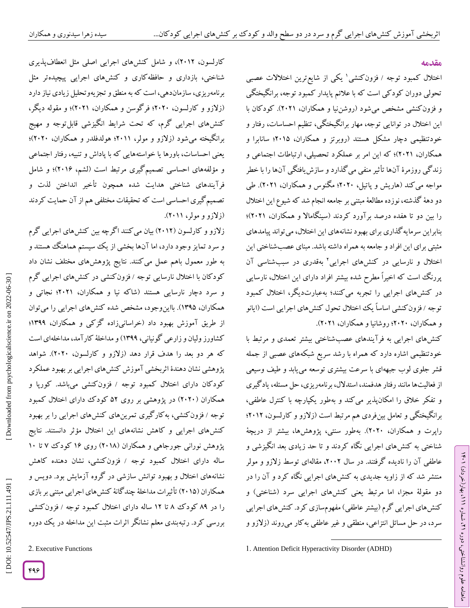## **مقدمه**

اختلال کمبود توجه / فزونکنشی' یکی از شایع ترین اختلالات عصبی تحولی دوران کودکی است که با عالئم پايدار کمبود توجه، برانگیختگی و فزون کنشی مشخص میشود (روشن $\mathbf{u}$  او همکاران، ۲۰۲۱). کودکان با اين اختالل در توانايی توجه، مهار برانگیختگی، تنظیم احساسات، رفتار و خودتنظیمی دچار مشکل هستند )روبرتز و همکاران، 2914؛ سانابرا و همکاران، 2921(؛ که اين امر بر عملکرد تحصیلی، ارتباطات اجتماعی و زندگی روزمرۀ آنها تأثیر منفی میگذارد و سازشيافتگی آنها را با خطر مواجه می کند (هاریش و پاتیل، ۲۰۲۰؛ مکنوس و همکاران، ۲۰۲۱). طی دو دهۀ گذشته، نوزده مطالعۀ مبتنی بر جامعه انجام شد که شیوع اين اختالل را بین دو تا هفده درصد بر آورد کردند (سینگامالا و همکاران، ۲۰۲۱)؛ بنابراين سرمايهگذاری برای بهبود نشانههای اين اختالل، میتواند پیامدهای مثبتی برای اين افراد و جامعه به همراه داشته باشد. مبنای عصبشناختی اين اختلال و نارسایی در کنشهای اجرایی<sup>۲</sup> بهقدری در سببشناسی آن پررنگ است که اخیراً مطرح شده بیشتر افراد دارای اين اختالل، نارسايی در کنشهای اجرايی را تجربه میکنند؛ بهعبارتديگر، اختالل کمبود توجه /فزون کنشی اساساً يک اختلال تحول کنشهای اجرایی است (آيانو و همکاران، 2929؛ روشانیا و همکاران، 2921(.

کنشهای اجرايی به فرآيندهای عصبشناختی بیشتر تعمدی و مرتبط با خودتنظیمی اشاره دارد که همراه با رشد سريع شبکههای عصبی از جمله قشر جلوی لوب جبههای با سرعت بیشتری توسعه میيابد و طیف وسیعی از فعالیتها مانند رفتار هدفمند، استدلال، برنامهریزی، حل مسئله، یادگیری و تفکر خالق را امکانپذير میکند و بهطور يکپارچه با کنترل عاطفی، برانگیختگی و تعامل بینفردی هم مرتبط است )زالزو و کارلسون، 2912؛ راپرت و همکاران، 2929(. بهطور سنتی، پژوهشها، بیشتر از دريچۀ شناختی به کنشهای اجرايی نگاه کردند و تا حد زيادی بعد انگیزشی و عاطفی آن را نادیده گرفتند. در سال ۲۰۰۲، مقالهای توسط زلازو و مولر منتشر شد که از زاويه جديدی به کنشهای اجرايی نگاه کرد و آن را در دو مقولۀ مجزا، اما مرتبط يعنی کنشهای اجرايی سرد (شناختی) و کنشهای اجرايی گرم )بیشتر عاطفی( مفهومسازی کرد. کنشهای اجرايی سرد، در حل مسائل انتزاعی، منطقی و غیر عاطفی به کار میروند (زلازو و

 $\overline{\phantom{a}}$ 

کارلسون، 2912(، و شامل کنشهای اجرايی اصلی مثل انعطافپذيری شناختی، بازداری و حافظهکاری و کنشهای اجرايی پیچیدهتر مثل برنامهريزي، سازماندهي، است که به منطق و تجزيهوتحليل زيادي نياز دارد )زالزو و کارلسون، 2929؛ فرگوسن و همکاران، 2921(؛ و مقوله ديگر، کنشهای اجرايی گرم، که تحت شرايط انگیزشی قابلتوجه و مهیج برانگیخته میشود (زلازو و مولر، ۲۰۱۱؛ هولدفلدر و همکاران، ۲۰۲۰)؛ يعنی احساسات، باورها يا خواستههايی که با پاداش و تنبیه، رفتار اجتماعی و مؤلفههای احساسی تصمیم گیری مرتبط است (لشم، ۲۰۱۶)؛ و شامل فرآيندهای شناختی هدايت شده همچون تأخیر انداختن لذت و تصمیم گیری احساسی است که تحقیقات مختلفی هم از آن حمایت کردند<br>(زلازو و مولر، ۲۰۱۱).

زالزو و کارلسون )2912( بیان میکنند اگرچه بین کنشهای اجرايی گرم و سرد تمايز وجود دارد، اما آنها بخشی از يک سیستم هماهنگ هستند و به طور معمول باهم عمل میکنند. نتايج پژوهشهای مختلف نشان داد کودکان با اختلال نارسایی توجه /فزون کنشی در کنشهای اجرایی کرم و سرد دچار نارسايی هستند )شاکه نیا و همکاران، 2921؛ نجاتی و همکاران، 1394(. بااينوجود، مشخص شده کنشهای اجرايی را میتوان از طريق آموزش بهبود داد )خراسانیزاده گزکی و همکاران، 1399؛ کشاورز ولیان و زارعی گونیانی، 1399( و مداخلۀ کارآمد، مداخلهای است که هر دو بعد را هدف قرار دهد )زالزو و کارلسون، 2929(. شواهد پژوهشی نشان دهندۀ اثربخشی آموزش کنشهای اجرايی بر بهبود عملکرد کودکان دارای اختلال کمبود توجه / فزونکنشی میباشد. کورپا و همکاران )2929( در پژوهشی بر روی 42 کودک دارای اختالل کمبود توجه / فزون کنشی، به کار کيری تمرينهای کنشهای اجرايی را بر بهبود کنشهای اجرايی و کاهش نشانههای اين اختالل مؤثر دانستند. نتايج پژوهش نورانی جورجاهی و همکاران (۲۰۱۸) روی ۱۶ کودک ۷ تا ۱۰ ساله دارای اختلال کمبود توجه / فزونکنشی، نشان دهنده کاهش نشانههای اختالل و بهبود توانش سازشی در گروه آزمايش بود. دويس و همکاران )2914( تأثیرات مداخلۀ چندگانۀ کنشهای اجرايی مبتنی بر بازی را در ۸۹ کودک ۸ تا ۱۲ ساله دارای اختلال کمبود توجه / فزون کنشی بررسی کرد. رتبهبندی معلم نشانگر اثرات مثبت اين مداخله در يک دوره<br>2. Executive Functions

ラン

<sup>1</sup>. Attention Deficit Hyperactivity Disorder (ADHD)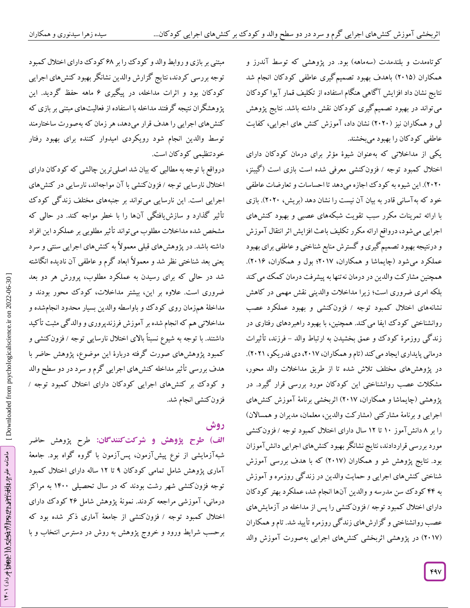کوتاهمدت و بلندمدت (سهماهه) بود. در پژوهشی که توسط آندرز و همکاران )2914( باهدف بهبود تصمیمگیری عاطفی کودکان انجام شد نتايج نشان داد افزايش آگاهی هنگام استفاده از تکلیف قمار آيوا کودکان میتواند در بهبود تصمیمگیری کودکان نقش داشته باشد. نتايج پژوهش لبی و همکاران نيز (۲۰۲۰) نشان داد، آموزش کنش های اجرايی، کفايت عاطفی کودکان را بهبود میبخشند.

يکی از مداخالتی که بهعنوان شیوۀ مؤثر برای درمان کودکان دارای اختلال کمبود توجه / فزونکنشی معرفی شده است بازی است (کیبنز، 2929(. اين شیوه به کودک اجازه میدهد تا احساسات و تعارضات عاطفی خود که بهآسانی قادر به بیان آن نیست را نشان دهد (بریش، ۲۰۲۰). بازی با ارائه تمرينات مکرر سبب تقويت شبکههای عصبی و بهبود کنشهای اجرايی میشود، درواقع ارائه مکرر تکلیف باعث افزايش اثر انتقال آموزش و درنتیجه بهبود تصمیمگیری و گسترش منابع شناختی و عاطفی برای بهبود عملکرد میشود (چايماشا و همکاران، ٢٠١٧؛ بول و همکاران، ٢٠١۶). همچنین مشارکت والدین در درمان نه تنها به پیشرفت درمان کمک می کند بلکه امری ضروری است؛ زيرا مداخالت والدينی نقش مهمی در کاهش نشانههای اختلال کمبود توجه / فزونکنشی و بهبود عملکرد عصب روانشناختی کودک ايفا میکند. همچنین، با بهبود راهبردهای رفتاری در زندگی روزمرۀ کودک و عمق بخشیدن به ارتباط والد – فرزند، تاثیرات درمانی پايداري ايجاد می کند (تام و همکاران، ٢٠١٧، دی فدريکو، ٢٠٢١). در پژوهشهای مختلف تالش شده تا از طريق مداخالت والد محور، مشکالت عصب روانشناختی اين کودکان مورد بررسی قرار گیرد. در پژوهشی (چایماشا و همکاران، ۲۰۱۷) اتربخشی برنامۀ آموزش کنشهای اجرايي و برنامۀ مشارکتی (مشارکت والدين، معلمان، مديران و همسالان) را بر ۸ دانش آموز ۱۰ تا ۱۲ سال دارای اختلال کمبود توجه / فزون کنشی مورد بررسی قراردادند، نتايج نشانگر بهبود کنشهای اجرايی دانشآموزان بود. نتايج پژوهش شو و همکاران )2910( که با هدف بررسی آموزش شناختی کنشهای اجرايی و حمايت والدين در زندگی روزمره و آموزش به 55 کودک سن مدرسه و والدين آنها انجام شد، عملکرد بهتر کودکان دارای اختلال کمبود توجه /فزون کنشی را پس از مداخله در آزمايشهای عصب روانشناختی و گزارشهای زندگی روزمره تأيید شد. تام و همکاران (۲۰۱۷) در پژوهشی اثربخشی کنشهای اجرایی بهصورت آموزش والد

مبتنی بر بازی و روابط والد و کودک را بر 20 کودک دارای اختالل کمبود توجه بررسی کردند، نتايج گزارش والدين نشانگر بهبود کنشهای اجرايی کودکان بود و اثرات مداخله، در پیگیری ۶ ماهه حفظ کردید. این پژوهشگران نتیجه گرفتند مداخله با استفاده از فعالیتهای مبتنی بر بازی که کنشهای اجرايی را هدف قرار میدهد، هر زمان که بهصورت ساختارمند توسط والدين انجام شود رويکردی امیدوار کننده برای بهبود رفتار خودتنظیمی کودکان است.

درواقع با توجه به مطالبی که بیان شد اصلیترين چالشی که کودکان دارای اختلال نارسایی توجه / فزون کنشی با آن مواجهاند، نارسایی در کنشهای اجرايی است. اين نارسايی میتواند بر جنبههای مختلف زندگی کودک تأثیر گذارد و سازشيافتگی آنها را با خطر مواجه کند. در حالی که مشخص شده مداخالت مطلوب میتواند تأثیر مطلوبی بر عملکرد اين افراد داشته باشد. در پژوهشهای قبلی معموالً به کنشهای اجرايی سنتی و سرد يعنی بعد شناختی نظر شد و معموالً ابعاد گرم و عاطفی آن ناديده انگاشته شد در حالی که برای رسیدن به عملکرد مطلوب، پرورش هر دو بعد ضروری است. عالوه بر اين، بیشتر مداخالت، کودک محور بودند و مداخلۀ همزمان روی کودک و باواسطه والدین بسیار محدود انجامشده و مداخالتی هم که انجام شده بر آموزش فرزندپروری و والدگی مثبت تأکید داشتند. با توجه به شیوع نسبتاً بالای اختلال نارسایی توجه / فزون کنشی و کمبود پژوهشهای صورت گرفته دربارۀ اين موضوع، پژوهش حاضر با هدف بررسی تأثیر مداخله کنشهای اجرایی گرم و سرد در دو سطح والد<br>و کودک بر کنشهای اجرایی کودکان دارای اختلال کمبود توجه /<br>فزونکنشی انجام شد.

## **روش**

طرح پژوهش حاضر **شرکتکنندگان: الف( طرح پژوهش و** شبهآزمايشی از نوع پیشآزمون، پسآزمون با گروه گواه بود. جامعۀ اماری پژوهش شامل تمامی کودکان ۹ تا ۱۲ ساله دارای اختلال کمبود توجه فزونکنشی شهر رشت بودند که در سال تحصیلی 1599 به مراکز درمانی، آموزشی مراجعه کردند. نمونۀ پژوهش شامل 22 کودک دارای اختلال کمبود توجه / فزونکنشی از جامعۀ اماری ذکر شده بود که برحسب شرایط ورود و خروج پژوهش به روش در دسترس انتخاب و با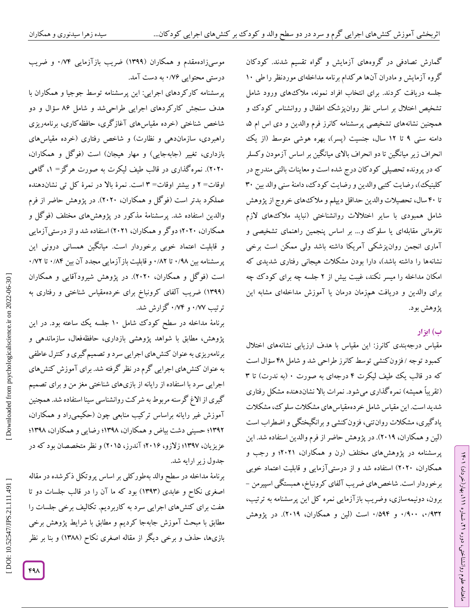کمارش تصادفی در گروههای آزمايش و گواه تقسیم شدند. گودگان کروه آزمايش و مادران آنها هر کدام برنامه مداخلهای موردنظر را طی ۱۰ جلسه دریافت کردند. برای انتخاب افراد نمونه، ملاک های ورود شامل<br>تشخیص اختلال بر اساس نظر روانپزشک اطفال و روانشناس کودک و<br>همچنین نشانههای تشخیصی پرسشنامه کانرز فرم والدین و دی اس ام ۵، دامنه سنی ۹ تا ۱۲ سال، جنسیت (پسر)، بهره هوشی متوسط (از یک انحراف زير میانگین تا دو انحراف باالی میانگین بر اساس آزمودن وکسلر که در پرونده تحصیلی کود کان درج شده است و معاینات بالنی مندرج در کلینیک)، رضایت کتبی والدین و رضایت کود ک، دامنهٔ سنی والد بین ۳۰ تا 59 سال، تحصیالت والدين حداقل ديپلم و مالکهای خروج از پژوهش شامل همبودی با ساير اختالالت روانشناختی )نبايد مالکهای الزم نافرمانی مقابلهای يا سلوک و... بر اساس پنجمین راهنمای تشخیصی و آماری انجمن روانپزشکی آمريکا داشته باشد ولی ممکن است برخی نشانهها را داشته باشد)، دارا بودن مشکلات هیجانی رفتاری شدیدی که امکان مداخله را میسر نکند، غیبت بیش از ۲ جلسه چه برای کودک چه برای والدين و دريافت همزمان درمان يا آموزش مداخلهای مشابه اين پژوهش بود.

## **ب( ابزار**

ラン

، بهار)خرداد( 111

، شماره 21

ماهنامه علوم روانشناختی، دوره

مقیاس درجهبندی کانرز: اين مقیاس با هدف ارزيابی نشانههای اختالل کمبود توجه / فزون کنشی توسط کانرز طراحی شد و شامل ۴۸ سؤال است که در قالب يک طيف ليکرت ۴ درجهای به صورت ۰ (به ندرت) تا ۳ (تقریباً همیشه) نمره گذاری میشود. نمرات بالا نشاندهنده مشکل رفتاری شديد است. اين مقیاس شامل خردهمقیاسهای مشکالت سلوک، مشکالت يادگیری، مشکالت روانتنی، فزونکنشی و برانگیختگی و اضطراب است (لين و همکاران، ٢٠١٩). در پژوهش حاضر از فرم والدين استفاده شد. اين پرسشنامه در پژوهشهای مختلف )رن و همکاران، 2921؛ و رجب و همکاران، ۲۰۲۰) استفاده شد و از درستیآزمایی و قابلیت اعتماد خوبی<br>برخوردار است. شاخصهای ضریب آلفای کرونباخ، همبستگی اسپیرمن – برون، دونیمهسازی، وضريب بازآزمايی نمره کل اين پرسشنامه به ترتیب، ۰/۹۳۲ و ۵۹۴۲ است (لین و همکاران، ۲۰۱۹). در پژوهش

موسیزادهمقدم و همکاران (۱۳۹۹) ضریب بازآزمایی ۰/۷۴ و ضریب درستی محتوایی ۱/۷۶ به دست امد.

پرسشنامه کارکردهای اجرايی: اين پرسشنامه توسط جوجیا و همکاران با هدف سنجش کارکردهای اجرايی طراحیشد و شامل 02 سؤال و دو شاخص شناختی )خرده مقیاسهای آغازگری، حافظهکاری، برنامهريزی راهبردی، سازماندهی و نظارت) و شاخص رفتاری (خرده مقیاسهای بازداری، تغییر (جابهجایی) و مهار هیجان) است (فوکل و همکاران، ، گاهی 1 2929(. نمرهگذاری در قالب طیف لیکرت به صورت هرگز<sup>=</sup> اوقات= ۲ و بیشتر اوقات= ۳ است. نمرۀ بالا در نمرۀ کل تی نشاندهنده عملکرد بدتر است (فو کل و همکاران، ۲۰۲۰). در پژوهش حاضر از فرم والدين استفاده شد. پرسشنامۀ مذکور در پژوهشهای مختلف )فوگل و همکاران، 2929؛ دوگر و همکاران، 2921( استفاده شد و از درستیآزمايی و قابلیت اعتماد خوبی برخوردار است. میانگین همسانی درونی این<br>پرسشنامه بین ۰/۹۸ تا ۰/۸۲ و قابلیت بازآزمایی مجدد آن بین ۰/۸۴ تا ۰/۷۲ است )فوگل و همکاران، 2929(. در پژوهش شیرودآقايی و همکاران (۱۳۹۹) ضریب آلفای کرونباخ برای خردهمقیاس شناختی و رفتاری به ترتیب ۰/۷۷ و ۰/۷۴ کزارش شد.

برنامۀ مداخله در سطح کودک شامل 19 جلسه يک ساعته بود. در اين پژوهش، مطابق با شواهد پژوهشی بازداری، حافظهفعال، سازماندهی و برنامهريزی به عنوان کنشهای اجرايی سرد و تصمیمگیری و کنترل عاطفی به عنوان کنشهای اجرايی گرم در نظر گرفته شد. برای آموزش کنشهای اجرايی سرد با استفاده از رايانه از بازیهای شناختی مغز من و برای تصمیم گیری از االغ گرسنه مربوط به شرکت روانشناسی سینا استفاده شد. همچنین اموزش غیر رایانه براساس ترکیب منابعی چون (حکیمیراد و همکاران، ۱۳۹۲؛ حسینی دشت بیاض و همکاران، ۱۳۹۸؛ رضایی و همکاران، ۱۳۹۸؛ زلازو، ۲۰۱۶؛ آندرز، ۲۰۱۵) و نظر متخصصان بود که در جدول زير ارايه شد.

برنامۀ مداخله در سطح والد بهطور کلی بر اساس پروتکل ذکرشده در مقاله اصغری نکاح و عابدی (۱۳۹۳) بود که ما آن را در قالب جلسات دو تا هفت برای کنشهای اجرايی سرد به کاربرديم. تکالیف برخی جلسات را مطابق با مبحث آموزش جابهجا کردیم و مطابق با شرایط پژوهش برخی بازیها، حذف و برخی دیگر از مقاله اصغری نکاح (۱۳۸۸) و بنا بر نظر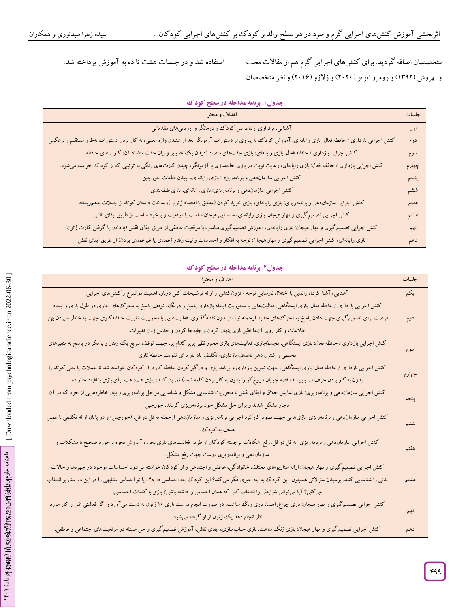استفاده شد و در جلسات هشت تا ده به آموزش پرداخته شد.

متخصصان اضافه گرديد. برای کنشهای اجرايی گرمهم ازمقاالت محب و بهروش (۱۳۹۲) و رومرو ایویو (۲۰۲۰) و زلازو (۲۰۱۶) و نظر متخصصان

| اهداف و محتوا                                                                                                                                            | جلسات |
|----------------------------------------------------------------------------------------------------------------------------------------------------------|-------|
| آشنایی، برقراری ارتباط بین کودک و درمانگر و ارزیابیهای مقدماتی                                                                                           | اول   |
| کنش اجرایی بازداری / حافظه فعال: بازی رایانهای، آموزش کودک به پیروی از دستورات آزمونگر بعد از شنیدن واژه معینی، به کار بردن دستورات بهطور مستقیم و برعکس | دوم   |
| کنش اجرایی بازداری / حافظه فعال: بازی رایانهای، بازی جفتهای متضاد (دیدن یک تصویر و بیان جفت متضاد آن، کارتهای حافظه                                      | سوم   |
| کنش اجرایی بازداری / حافظه فعال: بازی رایانهای، رعایت نوبت در بازی خانهسازی با آزمونگر، چیدن کارتهای رنگی به ترتیبی که از کودک خواسته میشود.             | چهارم |
| کنش اجرایی سازماندهی و برنامهریزی: بازی رایانهای، چیدن قطعات جورچین                                                                                      | ينجم  |
| کنش اجرایی سازماندهی و برنامهریزی: بازی رایانهای، بازی طبقهبندی                                                                                          | ششم   |
| کنش اجرایی سازماندهی و برنامهریزی: بازی رایانهای، بازی خرید کردن (مطابق با اقتصاد ژتونی)، ساخت داستان کوتاه از جملات بههمریخته                           | هفتم  |
| کنش اجرایی تصمیم گیری و مهار هیجان: بازی رایانهای، شناسایی هیجان مناسب با موقعیت و برخود مناسب از طریق ایفای نقش                                         | هشتم  |
| کنش اجرایی تصمیم گیری و مهار هیجان: بازی رایانهای، آموزش تصمیم گیری مناسب با موقعیت عاطفی از طریق ایفای نقش (با دادن یا گرفتن کارت ژتون)                 | نهم   |
| بازی رایانهای، کنش اجرایی تصمیم گیری و مهار هیجان: توجه به افکار و احساسات و نیت رفتار (عمدی یا غیرعمدی بودن) از طریق ایفای نقش                          | دهم   |

**. برنامه مداخله در سطح کودک جدول1**

## **. برنامه مداخله در سطح کودک جدول2**

| اهداف و محتوا                                                                                                                                           | جلسات |
|---------------------------------------------------------------------------------------------------------------------------------------------------------|-------|
| آشنایی، آشنا کردن والدین با اختلال نارسایی توجه / فزون کنشی و ارائه توضیحات کلی درباره اهمیت موضوع و کنش۵ای اجرایی                                      | يكم   |
| کنش اجرایی بازداری / حافظه فعال: بازی ایستگاهی. فعالیتهایی با محوریت ایجاد بازداری پاسخ و درنگ، توقف پاسخ به محرک های جاری در طول بازی و ایجاد          |       |
| فرصت برای تصمیم گیری جهت دادن پاسخ به محرک های جدید ازجمله نوشتن بدون نقطه گذاری، فعالیتهایی با محوریت تقویت حافظه کاری جهت به خاطر سپردن بهتر          | دوم   |
| اطلاعات و کار روی آنها نظیر بازی پنهان کردن و جابهجا کردن و حدس زدن تغییرات.                                                                            |       |
| کنش اجرایی بازداری / حافظه فعال: بازی ایستگاهی. مجسمٌهبازی. فعالیتهای بازی محور نظیر پرپر کدام پر، جهت توقف سریع یک رفتار و یا فکر در پاسخ به متغیرهای  |       |
| محیطی و کنترل ذهن باهدف بازداری، تکلیف یاد یار برای تقویت حافظه کاری                                                                                    | سوم   |
| کنش اجرایی بازداری / حافظه فعال: بازی ایستگاهی. جهت تمرین بازداری و برنامهریزی و درگیر کردن حافظه کاری از کودکان خواسته شد تا جملات یا متنی کوتاه را    |       |
| بدون به کار بردن حرف ب بنویسند، قصه چوپان دروغ گو را بدون به کار بردن کلمه (بعد) تمرین کنند، بازی هب، هب برای بازی با افراد خانواده                     | چهارم |
| کنش اجرایی سازماندهی و برنامهریزی: بازی نمایش خلاق و ایفای نقش با محوریت شناسایی مشکل و شناسایی مراحل برنامهریزی و بیان خاطرههایی از خود که در آن       |       |
| دچار مشکل شدند و برای حل مشکل خود برنامهریزی کردند، جورچین                                                                                              | ينجم  |
| کنش اجرایی سازماندهی و برنامهریزی: بازیهایی جهت بهبود کارکرد اجرایی برنامهریزی و سازماندهی ازجمله یه قل دو قل، (جورچین) و در پایان ارائه تکلیفی با همین |       |
| هدف به کودک.                                                                                                                                            | ششم   |
| کنش اجرایی سازماندهی و برنامهریزی: یه قل دو قل. رفع اشکالات برجسته کودکان از طریق فعالیتهای بازی.محور، آموزش نحوه برخورد صحیح با مشکلات و               |       |
| سازماندهی و برنامهریزی درست جهت رفع مشکل.                                                                                                               | هفتم  |
| کنش اجرایی تصمیم گیری و مهار هیجان: ارائه سناریوهای مختلف خانوادگی، عاطفی و اجتماعی و از کودکان خواسته میشود احساسات موجود در چهرهها و حالات            |       |
| بدنی را شناسایی کنند. پرسیدن سؤالاتی همچون: این کودک به چه چیزی فکر میکند؟ این کودک چه احساسی دارد؟ آیا تو احساس مشابهی را در این دو سناریو انتخاب      | هشتم  |
| می کنی؟ آیا می توانی شرایطی را انتخاب کنی که همان احساس را داشته باشی؟ بازی با کلمات احساسی.                                                            |       |
| کنش اجرایی تصمیم گیری و مهار هیجان: بازی چراغراهنما، بازی زنگ ساعت، در صورت انجام درست بازی ۱۰ ژنون به دست میآورد و اگر فعالیتی غیر از کار مورد         |       |
| نظر انجام دهد یک ژتون از او گرفته میشود.                                                                                                                | نهم   |
| کنش اجرایی تصمیم گیری و مهار هیجان: بازی زنگ ساعت. بازی حبابسازی، ایفای نقش، آموزش تصمیم گیری و حل مسئله در موقعیتهای اجتماعی و عاطفی.                  | دهم   |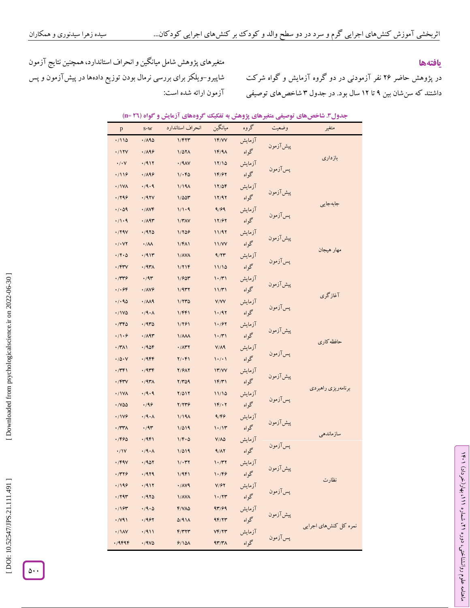## **یافتهها**

در پژوهش حاضر ۲۶ نفر آزمودنی در دو کروه آزمايش و کواه شرکت داشتند که سن شان بین ۹ تا ۱۲ سال بود. در جدول ۳ شاخص های توصیفی

متغیرهای پژوهش شامل میانگین و انحراف استاندارد، همچنین نتايج آزمون شاپیرو–ویلکز برای بررسی نرمال بودن توزیع دادهها در پیش آزمون و پس آزمون ارائه شده است:

| $\mathbf{p}$           | $\mathbf{v}$<br>$S-W$                | یس ر<br>ترر سای ارب<br>انحراف استاندارد | ميانگين                               | بيرسي پررم<br>گروه | 7 - ي سي<br>وضعيت | بصوب "<br>متغير       |
|------------------------|--------------------------------------|-----------------------------------------|---------------------------------------|--------------------|-------------------|-----------------------|
| .7110                  | .7190                                | 1/۴۲٣                                   | 1F/VV                                 | آزمايش             |                   |                       |
| .717V                  | .7199                                | 1/071                                   | $1F/9\Lambda$                         | گواه               | پیش آزمون         |                       |
| $\cdot/\cdot$ Y        | .7911                                | .79AY                                   | 17/10                                 | آزمايش             |                   | بازدارى               |
| .7119                  | .1199                                | 1.66                                    | 14/97                                 | گواه               | پسآزمون           |                       |
| ۰/۱۷۸                  | .79.9                                | 1/19 <sub>A</sub>                       | 17/09                                 | آزمايش             |                   |                       |
| .799                   | .797V                                | 1/00٣                                   | 17/97                                 | گواه               | پیش آزمون         |                       |
| . / 09                 | $\cdot$ / $\wedge$ $\vee$ $\uparrow$ | 1/1.9                                   | 9/99                                  | آزمايش             |                   | جابهجايي              |
| .71.9                  | $\cdot$ /19٣                         | 1/TAY                                   | 17/97                                 | گواه               | پسآزمون           |                       |
| .794                   | .7970                                | 1/709                                   | 11/97                                 | آزمايش             | پیش آزمون         |                       |
| $\cdot$ / $\cdot$ YY   | $\cdot/\Lambda\Lambda$               | 1/F <sub>1</sub>                        | <b>11/VV</b>                          | گواه               |                   | مهار هيجان            |
| $\cdot$ /۲ $\cdot$ ۵   | .7911                                | <b>\/AVA</b>                            | 9/77                                  | آزمايش             | پسآزمون           |                       |
| $\cdot$ /۴۳ $\vee$     | .797                                 | 1/716                                   | 11/10                                 | گواه               |                   |                       |
| ۰/۳۳۶                  | .44                                  | 1/905                                   | 1.771                                 | آزمايش             | پیش آزمون         |                       |
| .7.99                  | <b>./AV9</b>                         | 1/977                                   | 11/T1                                 | گواه               |                   | آغازگری               |
| .40                    | $\cdot/\lambda\lambda$ ٩             | 1/770                                   | V/VV                                  | آزمايش             | پسآزمون           |                       |
| .11V                   | $\cdot$ /9 $\cdot$ $\wedge$          | 1/FF1                                   | 1.797                                 | گواه               |                   |                       |
| ۱٬۳۴۵                  | .7970                                | 1/281                                   | 1.197                                 | آزمايش             | پیش آزمون         |                       |
| .79.9                  | .7197                                | $1/\lambda\lambda\lambda$               | 1.771                                 | گواه               |                   | حافظه كارى            |
| $\cdot$ /۳۸۱           | .7906                                | $\cdot$ / $\wedge$ ۳۲                   | $V/\Lambda$ ۹                         | آزمايش             | پسآزمون           |                       |
| $\cdot/\Delta \cdot V$ | .79                                  | $Y/\cdot F$                             | $\backslash \cdot / \cdot \backslash$ | گواه               |                   |                       |
| ۰/۳۴۱                  | .7949                                | <b>Y/9AY</b>                            | 17/VV                                 | آزمايش             | پیش آزمون         |                       |
| $\cdot$ /۴۳ $\vee$     | $.797\lambda$                        | $Y/Y\Delta9$                            | 1F/T1                                 | گواه               |                   | برنامەريزى راهبردى    |
| <b>./1VA</b>           | .4.9                                 | $Y/\Delta Y$                            | 11/10                                 | آزمايش             | پسآزمون           |                       |
| ٠/٧۵۵                  | .199                                 | Y/YY9                                   | $1F/\cdot 7$                          | گواه               |                   |                       |
| ·/1V9                  | $\cdot$ /9 $\cdot$ $\wedge$          | 1/19 <sub>A</sub>                       | 9/66                                  | آزمايش             | پیش آزمون         |                       |
| $\cdot$ /٣٣ $\wedge$   | .44                                  | 1/019                                   | 1.71                                  | گواه               |                   | سازماندهي             |
| ۱/۴۶۵                  | .79F1                                | $1/F \cdot \Delta$                      | $V/\Lambda\Delta$                     | آزمايش             | پسآزمون           |                       |
| $\cdot/1V$             | $\cdot$ /9 $\cdot$ $\wedge$          | 1/019                                   | 9/17                                  | گواه               |                   |                       |
| $\cdot$ /۴۹۷           | .7907                                | $1/\cdot 77$                            | $\mathcal{N} \cdot \mathcal{N}$       | آزمايش             | پیشآزمون<br>''    |                       |
| ۰/۳۲۶                  | .7979                                | 1/9F1                                   | 1.799                                 | گواه               |                   | نظارت                 |
| ۱۱۹۶،                  | .7911                                | $\cdot$ / $\Lambda$ $\vee$ 9            | V/FY                                  | آزمايش             | پسآزمون           |                       |
| ۰/۲۹۳                  | .7970                                | <b>\/AVA</b>                            | 1.77                                  | گواه               |                   |                       |
| .797                   | $\cdot$ /9 $\cdot$ $\circ$           | $F/VA\Delta$                            | 97/99                                 | آزمايش             | پیشآزمون          |                       |
| .741                   | .7997                                | $\Delta$ /911                           | 95/77                                 | گواه               |                   | نمره كل كنشهاي اجرايي |
| $\cdot / \lambda V$    | .7911                                | F/T                                     | YF/Y                                  | آزمايش             | پسآزمون           |                       |
| .79999                 | .7900                                | 9/10 <sub>A</sub>                       | $4r/r\lambda$                         | گواه               |                   |                       |

|  |  | جدول۳. شاخصهای توصیفی متغیرهای پژوهش به تفکیک گروههای آزمایش و گواه (12 =11) |  |  |  |
|--|--|------------------------------------------------------------------------------|--|--|--|
|--|--|------------------------------------------------------------------------------|--|--|--|



ラン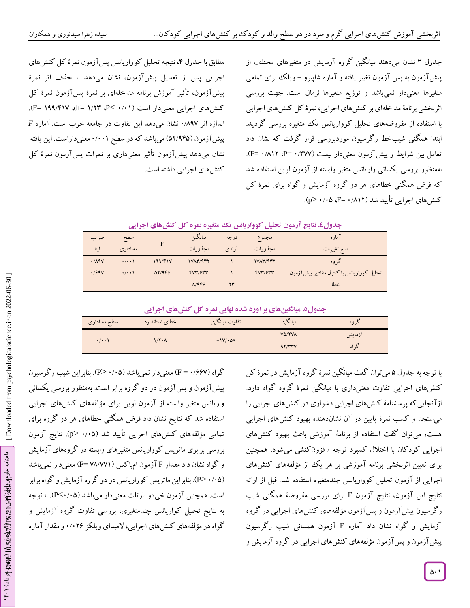مطابق با جدول ۴، نتیجه تحلیل کوواریانس پس آزمون نمرۀ کل کنشهای اجرايی پس از تعديل پيشlزمون، نشان میدهد با حذف اثر نمرۀ پیش آزمون، تاتیر آموزش برنامه مداخلهای بر نمرۀ پس آزمون نمرۀ کل کنشهای اجرایی معنیدار است (۰/۱۱ ×P ،P ۱/۲۳ df= ۱۹۹/۴۱۷ df= ).  $F$  اندازه اثر ۰٬۸۹۷ نشان می $\epsilon$ هد این تفاوت در جامعه خوب است. آماره پیش ازمون (۵۲/۹۴۵) میباشد که در سطح ۰/۰۰۱ معنیداراست. این یافته دهد پیشlزمون تاتیر معنیداری بر نمرات پسlزمون نمرۀ کل کنش های اجرایی داشته است. نشان میدهند میانگین گروه آزمايش در متغیرهای مختلف از جدول 3 پیش آزمون به پس آزمون تغییر یافته و آماره شاپیرو – ویلک برای تمامی متغیرها معنیدار نمیباشد و توزيع متغیرها نرمال است. جهت بررسی اثربخشی برنامۀ مداخلهای بر کنش های اجرایی، نمرۀ کل کنش های اجرایی<br>با استفاده از مفروضههای تحلیل کوواریانس تک متغیره بررسی گردید. ابتدا همکنی شیبخط ر گرسیون موردبررسی قرار کرفت که نشان داد تعامل بین شرایط و پیشآزمون معنیدار نیست (P= ۰/۳۷۷/ + =P).<br> بهمنظور بررسی يکسانی واريانس متغیر وابسته از آزمون لوين استفاده شد که فرض همگنی خطاهای هر دو گروه آزمايش و گواه برای نمرۀ کل کنش های اجرایی تأیید شد (۸۱۲/۰ =F، ۰/۰۵).

|                              |                    |         | - 75 -     |       |            |                                          |
|------------------------------|--------------------|---------|------------|-------|------------|------------------------------------------|
| ضريب                         | سطح                |         | ميانگين    | درجه  | مجموع      | آماره                                    |
| ايتا                         | معناداري           | F       | مجذورات    | آزادى | مجذورات    | منبع تغييرات                             |
| .719V                        | $\cdot/\cdot\cdot$ | 199/F1V | 1VAT/4TT   |       | 1VAT/4TT   | گروه                                     |
| .799V                        | $\cdot/\cdot\cdot$ | 07/980  | fV''/f'''' |       | fV''/f'''' | تحلیل کوواریانس با کنترل مقادیر پیشآزمون |
| $\qquad \qquad \blacksquare$ | -                  | -       | A/959      | ۲۳    | -          | خطا                                      |

## **نتایج آزمون تحلیل کوواریانس تک متغیره نمره کل کنشهای اجرایی . جدول5**

## جدول٥. میانگینهای بر آورد شده نهایی نمره کل کنشهای اجرایی

|                    | _____                      | -<br>______               | _<br>_____<br>.<br>____ |        |
|--------------------|----------------------------|---------------------------|-------------------------|--------|
| سطح معناداری       | خطاى استاندارد             | تفاوت ميانگين             | ميانكين                 | دروه   |
| $\cdot/\cdot\cdot$ | $1/\Upsilon \cdot \Lambda$ | $-1V/\cdot \Delta\Lambda$ | VO/YVA                  | آزمایش |
|                    |                            |                           | 97/۳۳۷                  | ده اه  |

با توجه به جدول ۵ میïتوان گفت میانگین نمرۀ کروه آزمایش در نمرۀ کل کنشهای اجرایی تفاوت معنیداری با میانگین نمرۀ کروه کواه دارد. ازآنجايیکه پرسشنامۀ کنشهای اجرايی دشواری در کنشهای اجرايی را سنجد و کسب نمرۀ پايین در آن نشاندهنده بهبود کنشهای اجرايی می توان گفت استفاده از برنامۀ آموزشی باعث بهبود کنشهای هست؛ می اجرایی کودکان با اختلال کمبود توجه / فزونکنشی میشود. همچنین برای تعیین اثربخشی برنامه آموزشی بر هر يک از مؤلفههای کنشهای اجرايی از آزمون تحلیل کوواريانس چندمتغیره استفاده شد. قبل از ارائه نتايج اين آزمون، نتايج آزمون F برای بررسی مفروضۀ همگنی شیب رگرسیون پیشآزمون و پسآزمون مؤلفههای کنشهای اجرايی در گروه آزمايش و گواه نشان داد آماره F آزمون همسانی شيب رگرسيون پیشآزمون و پسآزمون مؤلفههای کنشهای اجرايی در گروه آزمايش و

گواه (F = ۰/۶۶۷) معنیدار نمیباشد (۰/۰۵–P). بنابراین شیب رگرسیون پیشآزمون و پسآزمون در دو گروه برابر است. بهمنظور بررسی يکسانی واريانس متغیر وابسته از آزمون لوين برای مؤلفههای کنشهای اجرايی استفاده شد که نتايج نشان داد فرض همگنی خطاهای هر دو گروه برای تمامی مؤلفههای کنشهای اجرایی تأیید شد (۰/۰۵ <p). نتایج آزمون بررسی برابری ماتريس کوواريانس متغیرهای وابسته در گروههای آزمايش و گواه نشان داد مقدار F آزمون ام.باکس ( F= ۷۸/۷۷۱) معنیدار نمیباشد (. بنابراين ماتريس کوواريانس در دو گروه آزمايش و گواه برابر P < 9 /94 ( است. همچنین آزمون خیدو بارتلت معنیدار میباشد (P<۰/۰۵). با توجه به نتايج تحلیل کواريانس چندمتغیری، بررسی تفاوت گروه آزمايش و گواه در مؤلفههای کنشهای اجرایی، لامبدای ویلکز ۰/۰۲۶ و مقدار آماره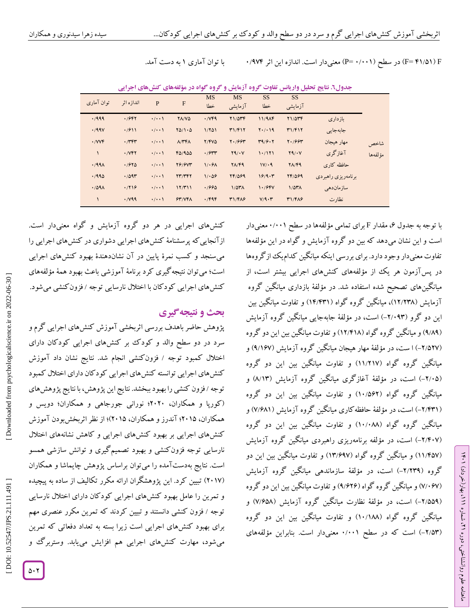<sup>F</sup>( 51/41<sup>=</sup> <sup>F</sup> )در سطح )9/991 =P )معنیدار است. اندازه اين اثر 9/905 با توان آماری 1 به دست آمد.

**گروه گواه در مؤلفههای کنشهای اجرایی نتایج تحلیل واریانس تفاوت گروه آزمایش و . جدول2**

| توان آماری        | اندازه اثر          | $\mathbf{P}$       | F                                 | <b>MS</b><br>خطا | <b>MS</b><br>آزمايشي | <b>SS</b><br>خطا     | <b>SS</b><br>آزمايشي |                    |          |
|-------------------|---------------------|--------------------|-----------------------------------|------------------|----------------------|----------------------|----------------------|--------------------|----------|
|                   |                     |                    |                                   |                  |                      |                      |                      |                    |          |
| .7999             | .7997               | $\cdot/\cdot\cdot$ | <b>YA/VQ</b>                      | .749             | $Y1/\Delta YY$       | 11/9AF               | Y1/0TF               | بازدارى            |          |
| .799V             | .7911               | $\cdot/\cdot\cdot$ | $Y\Delta/\Lambda\cdot\Delta$      | 1/801            | T1/F17               | $Y \cdot / \cdot 19$ | T1/F17               | جابهجايى           |          |
| $\cdot$ / $VV$    | .777                | $\cdot/\cdot\cdot$ | $\Lambda/\Upsilon\Upsilon\Lambda$ | $Y/FV\Delta$     | $Y \cdot 1994$       | T9/9.7               | $Y \cdot 1994$       | مهار هيجان         | شاخص     |
| $\mathcal{L}$     | .7Y                 | $\cdot/\cdot\cdot$ | FQ/9QQ                            | .7944            | Y9/Y                 | 1.7171               | Y9/Y                 | آغازگری            | مؤ لفهها |
| .799 <sub>A</sub> | .7970               | $\cdot/\cdot\cdot$ | <b>79/9V٣</b>                     | 1/49A            | $Y\Lambda/F9$        | 1V/4                 | $Y\Lambda/F9$        | حافظه کاری         |          |
| .7990             | .7097               | $\cdot/\cdot\cdot$ | YY/YYY                            | 1/0.09           | 74/089               | 19/9.7               | 741099               | برنامەریزی راهبردی |          |
| .709 <sub>A</sub> | .7719               | $\cdot/\cdot\cdot$ | 17/T11                            | .1990            | $1/\Delta r \Lambda$ | 1.799V               | $1/\Delta T$         | ساز مان دھے        |          |
|                   | $\cdot$ / $\vee$ 99 | $\cdot/\cdot\cdot$ | Y''/Y''                           | .799             | $T1/F\lambda$        | V/9.7                | T1/FA9               | نظارت              |          |

با توجه به جدول ۶، مقدار F برای تمامی مؤلفهها در سطح ۰/۰۰۱ معنیدار است و اين نشان میدهد که بین دو گروه آزمايش و گواه در اين مؤلفهها تفاوت معنیدار وجود دارد. برای بررسی اينکه میانگین کداميک ازگروهها در پسآزمون هر يک از مؤلفههای کنشهای اجرايی بیشتر است، از گروه میانگینهای تصحیح شده استفاده شد. در مؤلفۀ بازداری میانگین ازمايش (١٢/٢٣٨)، ميانگين كروه كواه (١٤/٢٣١) و تفاوت ميانگين بين این دو کرو (۲/۰۹۳–) است، در مؤلفۀ جابهجایی میانکین کروه آزمایش (۹/۸۹) و میانگین کروه کواه (۱۲/۴۱۸) و تفاوت میانگین بین این دو کروه (۲/۵۲۷–) ا ست، در مؤلفۀ مهار هیجان میانگین کروه آزمایش (۹/۱۶۷) و میانگین گروه گواه (۱۱/۲۱۷) و تفاوت میانگین بین این دو گروه (۲/۰۵–) است، در مؤلفۀ آغازگری میانگین گروه آزمایش (۸/۱۳) و میانگین گروه گواه (۱۰/۵۶۲) و تفاوت میانگین بین این دو گروه (۲/۴۳۱–) است، در مؤلفۀ حافظه کاری میانکین کروه آزمایش (۷/۶۸۱) و میانگین گروه گواه (۱۰/۰۸۸) و تفاوت میانگین بین این دو گروه (۲/۴۰۷–) است، در مؤلفه برنامهریزی راهبردی میانکین کروه آزمایش (۱۱/۴۵۷) و میانگین کروه کواه (۱۳/۶۹۷) و تفاوت میانگین بین این دو گروه (۲/۲۳۹) است، در مؤلفهٔ سازماندهی میانگین کروه ازمایش (۷/۰۶۷) و میانگین کروه کواه (۹/۶۲۶) و تفاوت میانگین بین این دو کروه (۲٬۵۵۹–) است، در مؤلفۀ نظارت میانگین کروه آزمایش (۷٬۶۵۸) و میانگین گروه گواه (۱۰/۱۸۸) و تفاوت میانگین بین این دو گروه (۲/۵۳) است که در سطح ۰/۰۰۱ معنیدار است. بنابراین مؤلفههای

کنشهای اجرايی در هر دو گروه آزمايش و گواه معنیدار است.ازآنجايیکه پرسشنامۀ کنشهای اجرايی دشواری در کنشهای اجرايی را میسنجد و کسب نمرۀ پايین در آن نشاندهندۀ بهبود کنشهای اجرايی است؛ میتوان نتیجهگیری کرد برنامۀ آموزشی باعث بهبود همۀ مؤلفههای کنشهای اجرایی کود کان با اختلال نارسایی توجه /فزون کنشی میشود.<br>**بحث و نتیجه گیری** 

و پژوهش حاضر باهدف بررسی اثربخشی آموزش کنشهای اجرايی گرم سرد در دو سطح والد و کودک بر کنشهای اجرایی کودکان دارای اختلال کمبود توجه / فزونکنشی انجام شد. نتايج نشان داد آموزش کنشهای اجرايی توانسته کنشهای اجرايی کودکان دارای اختالل کمبود توجه /فزون کنشی را بهبود ببخشد. نتايج اين پژوهش، با نتايج پژوهش های )کورپا و همکاران، 2929؛ نورانی جورجاهی و همکاران؛ دويس و همکاران، ۲۰۱۵؛ آندرز و همکاران، ۲۰۱۵)؛ از نظر آثربخشبودن آموزش کنشهای اجرايی بر بهبود کنشهای اجرايی و کاهش نشانههای اختالل نارسايی توجه فزونکنشی و بهبود تصمیمگیری و توانش سازشی همسو است. نتايج بهدست آمده را مى توان براساس پژوهش چايماشا و همکاران (۲۰۱۷) تبیین کرد. این پژوهشکران ارائه مکرر تکالیف از ساده به پیچیده و تمرين را عامل بهبود کنشهای اجرايی کودکان دارای اختالل نارسايی توجه / فزون کنشی دانستند و تبيين کردند که تمرين مکرر عنصری مهم برای بهبود کنشهای اجرايی است زيرا بسته به تعداد دفعاتی که تمرين میشود، مهارت کنشهای اجرایی هم افزایش مییابد. وستربر ک و

ラン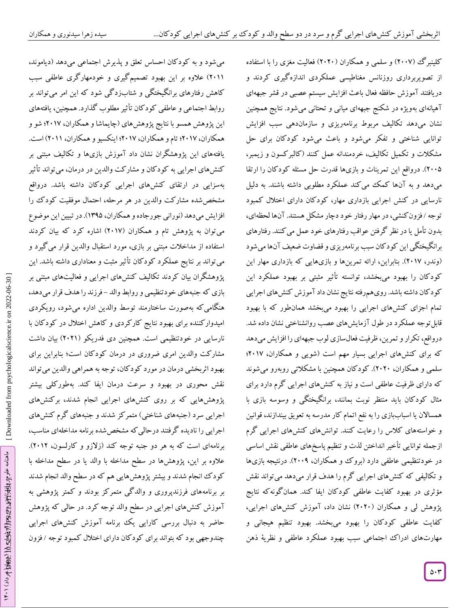می شود و به کود کان احساس تعلق و پدیرش اجتماعی میدهد (دیاموند،

کلینبرگ (۲۰۰۷) و سلمی و همکاران (۲۰۲۰) فعالیت مغزی را با استفاده از تصویربرداری روزنانس مغناطیسی عملکردی اندازه کیری کردند و دريافتند آموزش حافظه فعال باعث افزايش سیستم عصبی در قشر جبههای شود. نتايج همچنین يژه در شکنج جبههای میانی و تحتانی می آهیانهای بهو نشان میدهد تکالیف مربوط برنامهریزی و سازماندهی سبب افزایش توانایی شناختی و تفکر میشود و باعث میشود کودکان برای حل مشکالت و تکمیل تکالیف، خردمندانه عمل کنند )کالبرکسون و زيمبر، ۲۰۰۵). درواقع اين تمرينات و بازیها قدرت حل مسئله کودکان را ارتقا میدهد و به آنها کمک می کند عملکرد مطلوبی داشته باشند. به دلیل نارسايی در کنش اجرايی بازداری مهار، کودکان دارای اختالل کمبود توجه /فزون کنشی، در مهار رفتار خود دچار مشکل هستند. آنها لحظهای، بدون تأمل يا در نظر گرفتن عواقب رفتارهای خود عمل میکنند. رفتارهای برانگیختگی این کود کان سبب برنامهریزی و قضاوت ضعیف آنها می شود (وندر، ۲۰۱۷). بنابراین، ارائه تمرینها و بازیهایی که بازداری مهار این کودکان را بهبود میبخشد، توانسته تاثیر مثبتی بر بهبود عملکرد این کود کان داشته باشد. رویهمرفته نتایج نشان داد آموزش کنش های اجرایی تمام اجزای کنشهای اجرایی را بهبود میبخشد همانطور که با بهبود قابل توجه عملکرد در طول آزمايشهای عصب روانشناختی نشان داده شد. درواقع، تکرار و تمرين، ظرفيت فعالسازی لوب جبههای را افزايش میدهد که برای کنشهای اجرايی بسیار مهم است )شويی و همکاران، 2910؛ سلمی و همکاران، ۲۰۲۰). کود کان همچنین با مشکلاتی روبهرو میشوند که دارای ظرفیت عاطفی است و نیاز به کنشهای اجرايی گرم دارد برای مثال کودکان بايد منتظر نوبت بمانند، برانکيختگی و وسوسه بازی با همساالن يا اسباببازی را به نفع اتمام کار مدرسه به تعويق بیندازند، قوانین و خواستههای کالس را رعايت کنند. توانشهای کنشهای اجرايی گرم ازجمله توانایی تأخیر انداختن لدت و تنظیم پاسخهای عاطفی نقش اساسی در خودتنظیمی عاطفی دارد (برو ک و همکاران، ۲۰۰۹). درنتیجه بازیها و تکالیفی که کنشهای اجرایی کرم را هدف قرار میدهد میتواند نقش مؤثری در بهبود کفايت عاطفی کودکان ايفا کند. همانگونهکه نتايج پژوهش لی و همکاران (۲۰۲۰) نشان داد، آموزش کنشهای اجرایی، کفایت عاطفی کودکان را بهبود میبخشد. بهبود تنظیم هیجانی و مهارتهای ادراک اجتماعی سبب بهبود عملکرد عاطفی و نظريۀ ذهن

ماهنامه علوم دراز افغ بالنوس، برود 211 ماهنامه علوم استفاده که داد)

ماهنامه علوم الافوانية:hthps:221.4444.html

۲۰۱۱) علاوه بر این بهبود تصمیم کیری و خودمهار کری عاطفی سبب کاهش رفتارهای برانگیختگی و شتابزد کی شود که این امر میتواند بر روابط اجتماعی و عاطفی کود کان تأثیر مطلوب کدارد. همچنین، یافتههای اين پژوهش همسو با نتايج پژوهشهای )چايماشا و همکاران، 2910؛ شو و همکاران، 2910؛ تام و همکاران، 2910؛ اينکسیو و همکاران، 2911( است. یافتههای این پژوهشکران نشان داد آموزش بازیها و تکالیف مبتنی بر کنشهای اجرایی به کودکان و مشارکت والدین در درمان، میتواند تأثیر بهسزايی در ارتقای کنشهای اجرايی کودکان داشته باشد. درواقع مشخصشده مشارکت والدين در هر مرحله، احتمال موفقیت کودک را افزايش مىدهد (نورانى جورجاده و همكاران، ۱۳۹۵). در تبيين اين موضوع میتوان به پژوهش تام و همکاران )2910( اشاره کرد که بیان کردند استفاده از مداخالت مبتنی بر بازی، مورد استقبال والدين قرار میگیرد و میتواند بر نتايج عملکرد کودکان تأثیر مثبت و معناداری داشته باشد. اين پژوهشگران بیان کردند تکالیف کنشهای اجرايی و فعالیتهای مبتنی بر بازی که جنبههای خودتنظیمی و روابط والد – فرزند را هدف قرار میدهد، هنگامیکه بهصورت ساختارمند توسط والدين اداره میشود، رويکردی امیدوارکننده برای بهبود نتايج کارکردی و کاهش اختالل در کودکان با نارسایی در خودتنظیمی است. همچنین دی فدریکو (۲۰۲۱) بیان داشت مشارکت والدين امری ضروری در درمان کودکان است؛ بنابراين برای بهبود اثربخشی درمان در مورد کودکان، توجه به همراهی والدين میتواند نقش محوری در بهبود و سرعت درمان ايفا کند. بهطورکلی بیشتر پژوهشهايی که بر روی کنشهای اجرايی انجام شدند، برکنشهای اجرایی سرد (جنبههای شناختی) متمرکز شدند و جنبههای گرم کنشهای اجرايی را ناديده گرفتند درحالیکه مشخصشده برنامه مداخلهای مناسب، برنامهای است که به هر دو جنبه توجه کند (زلازو و کارلسون، ۲۰۱۲). عالوه بر اين، پژوهشها در سطح مداخله با والد يا در سطح مداخله با کودک انجام شدند و بیشتر پژوهشهايی هم که در سطح والد انجام شدند بر برنامههای فرزندپروری و والدگی متمرکز بودند و کمتر پژوهشی به آموزش کنشهای اجرايی در سطح والد توجه کرد. در حالی که پژوهش حاضر به دنبال بررسی کارايی يک برنامه آموزش کنشهای اجرايی چندوجهی بود که بتواند برای کودکان دارای اختلال کمبود توجه /فزون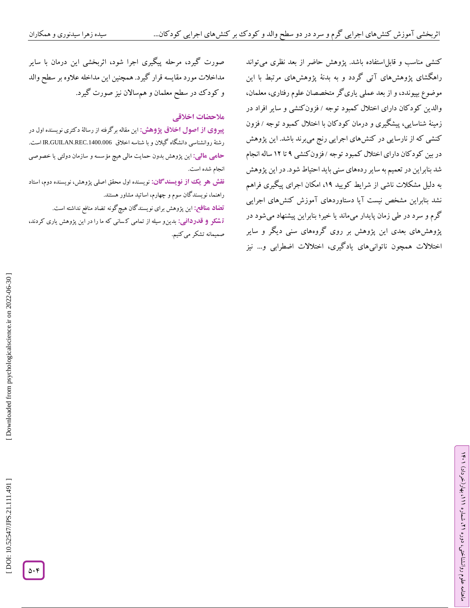کنشی مناسب و قابل|ستفاده باشد. پژوهش حاضر از بعد نظری میتواند راهکشای پژوهشهای آتی کردد و به بدنهٔ پژوهشهای مرتبط با این موضوع بپیوندد، و از بعد عملی ياریگر متخصصان علوم رفتاری، معلمان، والدين کودکان دارای اختلال کمبود توجه / فزون کنشی و ساير افراد در زمینۀ شناسایی، پیشکیری و درمان کودکان با اختلال کمبود توجه / فزون کنشی که از نارسايی در کنشهای اجرايی رنج میبرند باشد. اين پژوهش در بین کود کان دارای اختلال کمبود توجه /فزون کنشی ۹ تا ۱۲ ساله انجام شد بنابراين در تعمیم به ساير ردههای سنی بايد احتیاط شود. در اين پژوهش به دلیل مشکالت ناشی از شرايط کويید ،19 امکان اجرای پیگیری فراهم نشد بنابراين مشخص نیست آيا دستاوردهای آموزش کنشهای اجرايی گرم و سرد در طی زمان پايدار میماند يا خیر؛ بنابراين پیشنهاد میشود در پژوهشهای بعدی اين پژوهش بر روی گروههای سنی ديگر و ساير اختالالت همچون ناتوانیهای يادگیری، اختالالت اضطرابی و... نیز

ラン

، بهار)خرداد( 111

، شماره 21

ماهنامه علوم روانشناختی، دوره

صورت گیرد، مرحله پیگیری اجرا شود، اثربخشی اين درمان با ساير مداخالت مورد مقايسه قرار گیرد. همچنین اين مداخله عالوه بر سطح والد و کودک در سطح معلمان و همسالان نیز صورت گیرد.<br>هلا**حضات اخ**لاق<u>ی</u>

**پیروی از اصول اخلاق پژوهش: این مقاله بر**گرفته از رسالۀ دکتری نویسنده اول در رشتۀ روانشناسی دانشگاه گیالن و با شناسه اخالق .1400.006REC.GUILAN.IR است. اين پژوهش بدون حمايت مالی هیچ مؤسسه و سازمان دولتی يا خصوصی **: مالی حامی** انجام شده است.

**نقش هو یک از نویسندگان:** نویسنده اول محقق اصلی پژوهش، نویسنده دوم، استاد راهنما، نويسندگان سوم و چهارم، اساتید مشاور هستند.

اين پژوهش برای نويسندگان هیچگونه تضاد منافع نداشته است. **تضاد منافع:**

بدينو سیله از تمامی ک سانی که ما را در اين پژوهش ياری کردند، **: قدردانی** صمیمانه تشکر میکنیم. **ت شکر و**

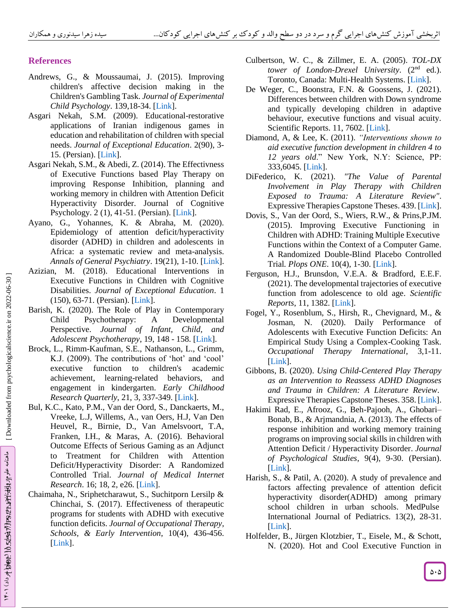## **References**

- Andrews, G., & Moussaumai, J. (2015). Improving children's affective decision making in the Children's Gambling Task. *Journal of Experimental Child Psychology*. 139,18 -34. [\[Link\]](https://pubmed.ncbi.nlm.nih.gov/26068276/).
- Asgari Nekah, S.M. (2009). Educational-restorative applications of Iranian indigenous games in education and rehabilitation of children with special needs. *Journal of Exceptional Education*. 2(90), 3 - 15. (Persian). [\[Link\]](http://exceptionaleducation.ir/browse.php?a_id=1619&sid=1&slc_lang=fa).
- Asgari Nekah, S.M., & Abedi, Z. (2014). The Effectivness of Executive Functions based Play Therapy on improving Response Inhibition, planning and working memory in children with Attention Deficit Hyperactivity Disorder. Journal of Cognitive Psychology. 2 (1), 41-51. (Persian). [\[Link\]](https://jcp.khu.ac.ir/browse.php?a_code=A-10-3-30&slc_lang=fa&sid=1).
- Ayano, G., Yohannes, K. & Abraha, M. (2020). Epidemiology of attention deficit/hyperactivity disorder (ADHD) in children and adolescents in Africa: a systematic review and meta -analysis. *Annals of General Psychiatry*. 19(21), 1 -10. [\[Link\]](https://pubmed.ncbi.nlm.nih.gov/32190100/).
- Azizian, M. (2018). Educational Interventions in Executive Functions in Children with Cognitive Disabilities. *Journal of Exceptional Education*. 1 (150), 63 -71. (Persian). [\[Link\]](http://exceptionaleducation.ir/browse.php?a_id=1316&sid=1&slc_lang=fa).
- Barish, K. (2020). The Role of Play in Contemporary Child Psychotherapy: A Developmental Perspective. *Journal of Infant, Child, and Adolescent Psychotherapy*, 19, 148 - 158. [\[Link\]](https://www.tandfonline.com/doi/abs/10.1080/15289168.2020.1756031?journalCode=hicp20).
- Brock, L., Rim m -Kaufman, S.E., Nathanson, L., Grimm, K.J. (2009). The contributions of 'hot' and 'cool' executive function to children's academic achievement, learning-related behaviors, and engagement in kindergarten. *Early Childhood Research Quarterly*, 21, 3, 337 -349. [\[Link\]](https://www.sciencedirect.com/science/article/abs/pii/S0885200609000386).
- Bul, K.C., Kato, P.M., Van der Oord, S., Danckaerts, M., Vreeke, L.J, Willems, A., van Oers, H.J, Van Den Heuvel, R., Birnie, D., Van Amelsvoort, T.A, Franken, I.H., & Maras, A. (2016). Behavioral Outcome Effects of Serious Gaming as an Adjunct to Treatment for Children with Attention Deficit/Hyperactivity Disorder: A Randomized Controlled Trial. *Journal of Medical Internet Research*. 16; 18, 2, e26. [\[Link\]](https://pubmed.ncbi.nlm.nih.gov/26883052/).
- Chaimaha, N., Sriphetcharawut, S., Suchitporn Lersilp & Chinchai, S. (2017). Effectiveness of therapeutic programs for students with ADHD with executive function deficits. *Journal of Occupational Therapy, Schools, & Early Intervention*, 10(4), 436 -456. [\[Link\]](https://www.tandfonline.com/doi/abs/10.1080/19411243.2017.1359131?journalCode=wjot20).
- Culbertson, W. C., & Zillmer, E. A. (2005). *TOL -DX tower of London -Drexel University*. (2nd ed.). Toronto, Canada: Multi-Health Systems. [\[Link\]](https://psycentre.apps01.yorku.ca/wp/tower-of-london-drexel-university-2nd-edition-toldx-2/).
- De Weger, C., Boonstra, F.N. & Goossens, J. (2021). Differences between children with Down syndrome and typically developing children in adaptive behaviour, executive functions and visual acuity. Scientific Reports. 11, 7602. [\[Link\]](https://www.nature.com/articles/s41598-021-85037-4#:~:text=Compared%20to%20typically%20developing%20children,assessment%2C%20and%20poorer%20visual%20acuity.).
- Diamond, A, & Lee, K. (2011). *"Interventions shown to aid executive function development in children 4 to 12 years old*." New York, N.Y: Science, PP: 333,6045. [\[Link\]](https://pubmed.ncbi.nlm.nih.gov/21852486/).
- DiFederico, K. (2021). *"The Value of Parental Involvement in Play Therapy with Children Exposed to Trauma: A Literature Review"*. Expressive Therapies Capstone Theses. 439. [\[Link\]](https://digitalcommons.lesley.edu/cgi/viewcontent.cgi?article=1442&context=expressive_theses).
- Dovis, S., Van der Oord, S., Wiers, R.W., & Prins ,P.JM. (2015). Improving Executive Functioning in Children with ADHD: Training Multiple Executive Functions within the Context of a Computer Game. A Randomized Double-Blind Placebo Controlled Trial *. Plops ONE*. 10(4), 1 -30. [\[Link\]](https://www.ncbi.nlm.nih.gov/pmc/articles/PMC4386826/).
- Ferguson, H.J., Brunsdon, V.E.A. & Bradford, E.E.F. (2021). The developmental trajectories of executive function from adolescence to old age. *Scientific Reports*, 11, 1382. [\[Link\]](https://www.nature.com/articles/s41598-020-80866-1).
- Fogel, Y., Rosenblum, S., Hirsh, R., Chevignard, M., & Josman, N. (2020). Daily Performance of Adolescents with Executive Function Deficits: An Empirical Study Using a Complex -Cooking Task. *Occupational Therapy International*, 3,1 -11. [\[Link\]](https://pubmed.ncbi.nlm.nih.gov/32099539/).
- Gibbons, B. (2020). *Using Child -Centered Play Therapy as an Intervention to Reassess ADHD Diagnoses and Trauma in Children: A Literature Review* . Expressive Therapies Capstone Theses. 358. [\[Link\]](https://digitalcommons.lesley.edu/expressive_theses/358/).
- Hakimi Rad, E., Afrooz, G., Beh -Pajooh, A., Ghobari Bonab, B., & Arjmandnia, A. (2013). The effects of response inhibition and working memory training programs on improving social skills in children with Attention Deficit / Hyperactivity Disorder. *Journal of Psychological Studies*, 9(4), 9 -30. (Persian). [\[Link\]](http://ensani.ir/fa/article/322800/%D8%A7%D8%AB%D8%B1%D8%A8%D8%AE%D8%B4%DB%8C-%D8%A8%D8%B1%D9%86%D8%A7%D9%85%D9%87-%D9%87%D8%A7%DB%8C-%D8%A2%D9%85%D9%88%D8%B2%D8%B4-%D8%A8%D8%A7%D8%B2%D8%AF%D8%A7%D8%B1%DB%8C-%D9%BE%D8%A7%D8%B3%D8%AE-%D9%88-%D8%AD%D8%A7%D9%81%D8%B8%D9%87-%D9%81%D8%B9%D8%A7%D9%84-%D8%A8%D8%B1-%D8%A8%D9%87%D8%A8%D9%88%D8%AF-%D9%85%D9%87%D8%A7%D8%B1%D8%AA-%D9%87%D8%A7%DB%8C-%D8%A7%D8%AC%D8%AA%D9%85%D8%A7%D8%B9%DB%8C-%DA%A9%D9%88%D8%AF%DA%A9%D8%A7%D9%86-%D8%A8%D8%A7-%D8%A7%D8%AE%D8%AA%D9%84%D8%A7%D9%84-%DA%A9%D8%A7%D8%B3%D8%AA%DB%8C-%D8%AA%D9%88%D8%AC%D9%87-%D9%88-%D8%A8%DB%8C%D8%B4-%D9%81%D8%B9%D8%A7%D9%84%DB%8C).
- Harish, S., & Patil, A. (2020). A study of prevalence and factors affecting prevalence of attention deficit hyperactivity disorder(ADHD) among primary school children in urban schools. MedPulse International Journal of Pediatrics. 13(2), 28 -31. [\[Link\]](https://medpulse.in/Pediatrics/Article/Volume13Issue2/Ped_13_2_5.pdf).
- Holfelder, B., Jürgen Klotzbier, T., Eisele, M., & Schott, N. (2020). Hot and Cool Executive Function in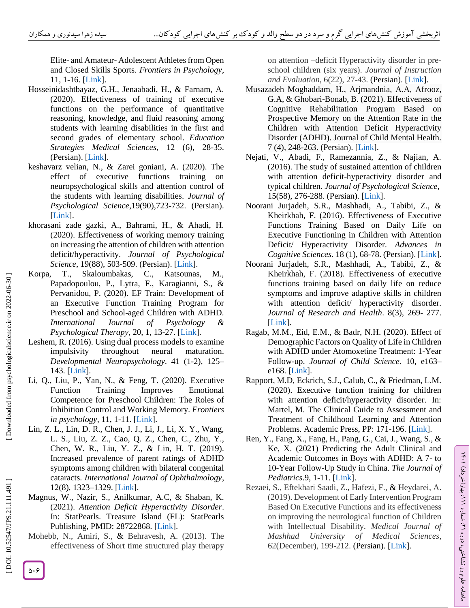Elite - and Amateur - Adolescent Athletes from Open and Closed Skills Sports. *Frontiers in Psychology*, 11, 1 -16. [\[Link\]](https://www.frontiersin.org/articles/10.3389/fpsyg.2020.00694/full).

- Hosseinidashtbayaz, G.H., Jenaabadi, H., & Farnam, A. (2020). Effectiveness of training of executive functions on the performance of quantitative reasoning, knowledge, and fluid reasoning among students with learning disabilities in the first and second grades of elementary school. *Education Strategies Medical Sciences*, 12 (6), 28 -35. (Persian). [\[Link\]](https://edcbmj.ir/article-1-2069-fa.html).
- keshavarz velian, N., & Zarei goniani, A. (2020). The effect of executive functions training on neuropsychological skills and attention control of the students with learning disabilities. *Journal of Psychological Science*,19(90),723 -732. (Persian). [\[Link\]](https://psychologicalscience.ir/article-1-342-fa.html&sw=%DA%A9%D8%B4%D8%A7%D9%88%D8%B1%D8%B2+%D9%88%D9%84%DB%8C%D8%A7%D9%86).
- khorasani zade gazki, A., Bahrami, H., & Ahadi, H. (2020). Effectiveness of working memory training on increasing the attention of children with attention deficit/hyperactivity. *Journal of Psychological*  Science, 19(88), 503-509. (Persian). [\[Link\]](https://psychologicalscience.ir/article-1-668-fa.html&sw=%D8%AE%D8%B1%D8%A7%D8%B3%D8%A7%D9%86%DB%8C+%D8%B2%D8%A7%D8%AF%D9%87).
- Korpa, T., Skaloumbakas, C., Katsounas, M., Papadopoulou, P., Lytra, F., Karagianni, S., & Pervanidou, P. (2020). EF Train: Development of an Executive Function Training Program for Preschool and School -aged Children with ADHD. *International Journal of Psychology & Psychological Therapy*, 20, 1, 13 -27. [\[Link\]](https://www.ijpsy.com/volumen20/num1/531.html#:~:text=The%20assessment%20of%20executive%20function,well%20as%20diminished%20ADHD%20symptoms.).
- Leshem, R. (2016). Using dual process models to examine impulsivity throughout neural maturation. *Developmental Neuropsychology*. 41 (1 -2), 125 – 143. [\[Link\]](https://www.ijpsy.com/volumen20/num1/531.html).
- Li, Q., Liu, P., Yan, N., & Feng, T. (2020). Executive Function Training Improves Emotional Competence for Preschool Children: The Roles of Inhibition Control and Working Memory. *Frontiers in psychology*, 11, 1 -11. [\[Link\]](https://www.ncbi.nlm.nih.gov/pmc/articles/PMC7077513/).
- Lin, Z. L., Lin, D. R., Chen, J. J., Li, J., Li, X. Y., Wang, L. S., Liu, Z. Z., Cao, Q. Z., Chen, C., Zhu, Y., Chen, W. R., Liu, Y. Z., & Lin, H. T. (2019). Increased prevalence of parent ratings of ADHD symptoms among children with bilateral congenital cataracts. *International Journal of Ophthalmology*, 12(8), 1323 –1329. [\[Link\]](https://www.ncbi.nlm.nih.gov/pmc/articles/PMC6694060/).
- Magnus, W., Nazir, S., Anilkumar, A.C, & Shaban, K. (2021). *Attention Deficit Hyperactivity Disorder*. In: StatPearls. Treasure Island (FL): StatPearls Publishing, PMID: 28722868. [\[Link\]](https://pubmed.ncbi.nlm.nih.gov/28722868/).
- Mohebb, N., Amiri, S., & Behravesh, A. (2013). The effectiveness of Short time structured play therapy

on attention –deficit Hyperactivity disorder in pre school children (six years). *Journal of Instruction and Evaluation*, 6(22), 27 -43. (Persian). [\[Link\]](https://www.sid.ir/en/journal/ViewPaper.aspx?id=383977).

- Musazadeh Moghaddam, H., Arjmandnia, A.A, Afrooz, G.A, & Ghobari -Bonab, B. (2021). Effectiveness of Cognitive Rehabilitation Program Based on Prospective Memory on the Attention Rate in the Children with Attention Deficit Hyperactivity Disorder (ADHD). Journal of Child Mental Health. 7 (4), 248 -263. (Persian). [\[Link\]](http://childmentalhealth.ir/article-1-606-en.html).
- Nejati, V., Abadi, F., Ramezannia, Z., & Najian, A. (2016). The study of sustained attention of children with attention deficit -hyperactivity disorder and typical children. *Journal of Psychological Science* , 15(58), 276 -288. (Persian). [\[Link\]](https://psychologicalscience.ir/article-1-209-fa.html).
- Noorani Jurjadeh, S.R., Mashhadi, A., Tabibi, Z., & Kheirkhah, F. (2016). Effectiveness of Executive Functions Training Based on Daily Life on Executive Functioning in Children with Attention Deficit/ Hyperactivity Disorder. *Advances in Cognitive Sciences*. 18 (1), 68 -78. (Persian). [\[Link\]](https://icssjournal.ir/browse.php?a_id=433&sid=1&slc_lang=en).
- Noorani Jurjadeh, S.R., Mashhadi, A., Tabibi, Z., & Kheirkhah, F. (2018). Effectiveness of executive functions training based on daily life on reduce symptoms and improve adaptive skills in children with attention deficit/ hyperactivity disorder. Journal of Research and Health. 8(3), 269- 277. [\[Link\]](https://www.researchgate.net/publication/324845719_Effect_of_daily_life_executive_functions_training_on_symptoms_and_adaptive_skills_in_children_with_attention_deficit_hyperactivity_disorder).
- Ragab, M.M., Eid, E.M., & Badr, N.H. (2020). Effect of Demographic Factors on Quality of Life in Children with ADHD under Atomoxetine Treatment: 1 -Year Follow -up. *Journal of Child Science*. 10, e163 – e168. [\[Link\]](https://www.thieme-connect.com/products/ejournals/abstract/10.1055/s-0040-1717104).
- Rapport, M.D, Eckrich, S.J., Calub, C., & Friedman, L.M. (2020). Executive function training for children with attention deficit/hyperactivity disorder. In: Martel, M. The Clinical Guide to Assessment and Treatment of Childhood Learning and Attention Problems. Academic Press, PP: 171-196. [\[Link\]](https://www.ncbi.nlm.nih.gov/pmc/articles/PMC5339928/).
- Ren, Y., Fang, X., Fang, H., Pang, G., Cai, J., Wang, S., & Ke, X. (2021) Predicting the Adult Clinical and Academic Outcomes in Boys with ADHD: A 7 - to 10 -Year Follow -Up Study in China. *The Journal of Pediatrics*.9, 1 -11. [\[Link\]](https://www.ncbi.nlm.nih.gov/pmc/articles/PMC8367416/).

ラン

، بهار)خرداد( 111

، شماره 21

ماهنامه علوم روانشناختی، دوره

Rezaei, S., Eftekhari Saadi, Z., Hafezi, F., & Heydarei, A. (2019). Development of Early Intervention Program Based On Executive Functions and its effectiveness on improving the neurological function of Children with Intellectual Disability. *Medical Journal of Mashhad University of Medical Sciences*, 62(December), 199 -212. (Persian). [\[Link\]](https://mjms.mums.ac.ir/article_14315.html?lang=en).

 $\mathfrak{d} \cdot \mathfrak{F}$